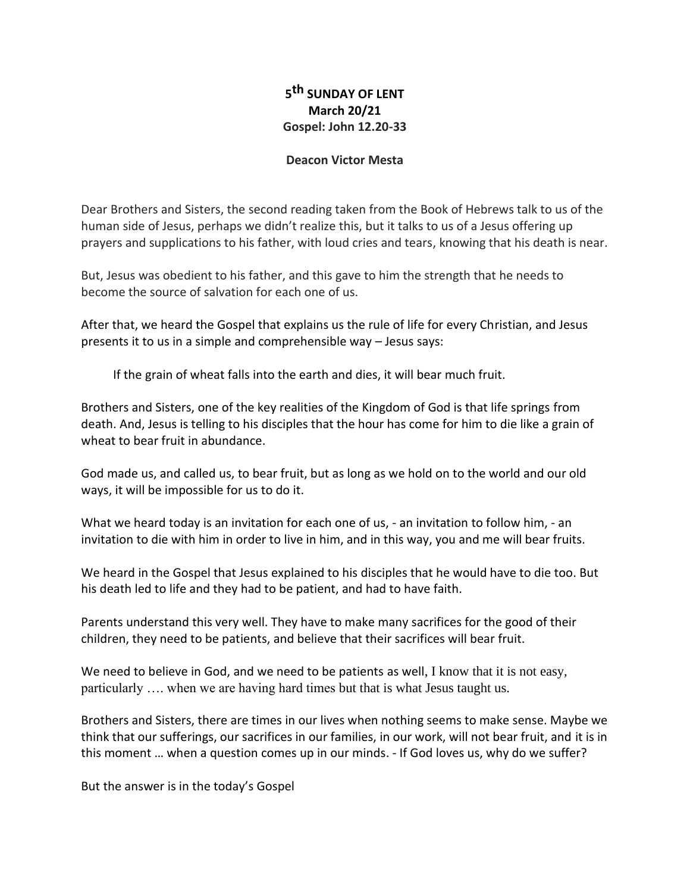## **5 th SUNDAY OF LENT March 20/21 Gospel: John 12.20-33**

## **Deacon Victor Mesta**

Dear Brothers and Sisters, the second reading taken from the Book of Hebrews talk to us of the human side of Jesus, perhaps we didn't realize this, but it talks to us of a Jesus offering up prayers and supplications to his father, with loud cries and tears, knowing that his death is near.

But, Jesus was obedient to his father, and this gave to him the strength that he needs to become the source of salvation for each one of us.

After that, we heard the Gospel that explains us the rule of life for every Christian, and Jesus presents it to us in a simple and comprehensible way – Jesus says:

If the grain of wheat falls into the earth and dies, it will bear much fruit.

Brothers and Sisters, one of the key realities of the Kingdom of God is that life springs from death. And, Jesus is telling to his disciples that the hour has come for him to die like a grain of wheat to bear fruit in abundance.

God made us, and called us, to bear fruit, but as long as we hold on to the world and our old ways, it will be impossible for us to do it.

What we heard today is an invitation for each one of us, - an invitation to follow him, - an invitation to die with him in order to live in him, and in this way, you and me will bear fruits.

We heard in the Gospel that Jesus explained to his disciples that he would have to die too. But his death led to life and they had to be patient, and had to have faith.

Parents understand this very well. They have to make many sacrifices for the good of their children, they need to be patients, and believe that their sacrifices will bear fruit.

We need to believe in God, and we need to be patients as well, I know that it is not easy, particularly …. when we are having hard times but that is what Jesus taught us.

Brothers and Sisters, there are times in our lives when nothing seems to make sense. Maybe we think that our sufferings, our sacrifices in our families, in our work, will not bear fruit, and it is in this moment … when a question comes up in our minds. - If God loves us, why do we suffer?

But the answer is in the today's Gospel